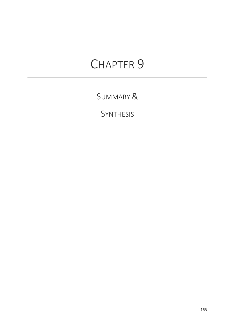# CHAPTER 9

SUMMARY &

**SYNTHESIS**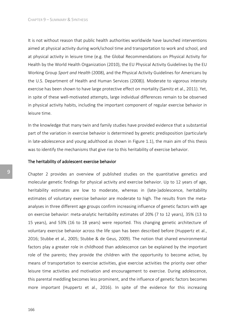It is not without reason that public health authorities worldwide have launched interventions aimed at physical activity during work/school time and transportation to work and school, and at physical activity in leisure time (e.g. the Global Recommendations on Physical Activity for Health by the World Health Organization (2010), the EU Physical Activity Guidelines by the EU Working Group *Sport and Health* (2008), and the Physical Activity Guidelines for Americans by the U.S. Department of Health and Human Services (2008)). Moderate to vigorous intensity exercise has been shown to have large protective effect on mortality (Samitz et al., 2011). Yet, in spite of these well-motivated attempts, large individual differences remain to be observed in physical activity habits, including the important component of regular exercise behavior in leisure time.

In the knowledge that many twin and family studies have provided evidence that a substantial part of the variation in exercise behavior is determined by genetic predisposition (particularly in late-adolescence and young adulthood as shown in Figure 1.1), the main aim of this thesis was to identify the mechanisms that give rise to this heritability of exercise behavior.

# The heritability of adolescent exercise behavior

Chapter 2 provides an overview of published studies on the quantitative genetics and molecular genetic findings for physical activity and exercise behavior. Up to 12 years of age, heritability estimates are low to moderate, whereas in (late-)adolescence, heritability estimates of voluntary exercise behavior are moderate to high. The results from the metaanalyses in three different age groups confirm increasing influence of genetic factors with age on exercise behavior: meta-analytic heritability estimates of 20% (7 to 12 years), 35% (13 to 15 years), and 53% (16 to 18 years) were reported. This changing genetic architecture of voluntary exercise behavior across the life span has been described before (Huppertz et al., 2016; Stubbe et al., 2005; Stubbe & de Geus, 2009). The notion that shared environmental factors play a greater role in childhood than adolescence can be explained by the important role of the parents; they provide the children with the opportunity to become active, by means of transportation to exercise activities, give exercise activities the priority over other leisure time activities and motivation and encouragement to exercise. During adolescence, this parental meddling becomes less prominent, and the influence of genetic factors becomes more important (Huppertz et al., 2016). In spite of the evidence for this increasing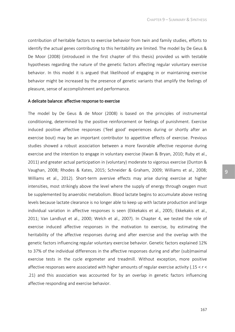contribution of heritable factors to exercise behavior from twin and family studies, efforts to identify the actual genes contributing to this heritability are limited. The model by De Geus & De Moor (2008) (introduced in the first chapter of this thesis) provided us with testable hypotheses regarding the nature of the genetic factors affecting regular voluntary exercise behavior. In this model it is argued that likelihood of engaging in or maintaining exercise behavior might be increased by the presence of genetic variants that amplify the feelings of pleasure, sense of accomplishment and performance.

#### A delicate balance: affective response to exercise

The model by De Geus & de Moor (2008) is based on the principles of instrumental conditioning, determined by the positive reinforcement or feelings of punishment. Exercise induced positive affective responses ('feel good' experiences during or shortly after an exercise bout) may be an important contributor to appetitive effects of exercise. Previous studies showed a robust association between a more favorable affective response during exercise and the intention to engage in voluntary exercise (Kwan & Bryan, 2010; Ruby et al., 2011) and greater actual participation in (voluntary) moderate to vigorous exercise (Dunton & Vaughan, 2008; Rhodes & Kates, 2015; Schneider & Graham, 2009; Williams et al., 2008; Williams et al., 2012). Short-term aversive effects may arise during exercise at higher intensities, most strikingly above the level where the supply of energy through oxygen must be supplemented by anaerobic metabolism. Blood lactate begins to accumulate above resting levels because lactate clearance is no longer able to keep up with lactate production and large individual variation in affective responses is seen (Ekkekakis et al., 2005; Ekkekakis et al., 2011; Van Landluyt et al., 2000; Welch et al., 2007). In Chapter 4, we tested the role of exercise induced affective responses in the motivation to exercise, by estimating the heritability of the affective responses during and after exercise and the overlap with the genetic factors influencing regular voluntary exercise behavior. Genetic factors explained 12% to 37% of the individual differences in the affective responses during and after (sub)maximal exercise tests in the cycle ergometer and treadmill. Without exception, more positive affective responses were associated with higher amounts of regular exercise activity (.15 < *r* < .21) and this association was accounted for by an overlap in genetic factors influencing affective responding and exercise behavior.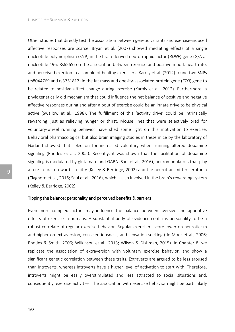Other studies that directly test the association between genetic variants and exercise-induced affective responses are scarce. Bryan et al. (2007) showed mediating effects of a single nucleotide polymorphism (SNP) in the brain-derived neurotrophic factor (*BDNF*) gene (G/A at nucleotide 196; Rs6265) on the association between exercise and positive mood, heart rate, and perceived exertion in a sample of healthy exercisers. Karoly et al. (2012) found two SNPs (rs8044769 and rs3751812) in the fat mass and obesity-associated protein gene (*FTO*) gene to be related to positive affect change during exercise (Karoly et al., 2012). Furthermore, a phylogenetically old mechanism that could influence the net balance of positive and negative affective responses during and after a bout of exercise could be an innate drive to be physical active (Swallow et al., 1998). The fulfillment of this 'activity drive' could be intrinsically rewarding, just as relieving hunger or thirst. Mouse lines that were selectively bred for voluntary-wheel running behavior have shed some light on this motivation to exercise. Behavioral pharmacological but also brain imaging studies in these mice by the laboratory of Garland showed that selection for increased voluntary wheel running altered dopamine signaling (Rhodes et al., 2005). Recently, it was shown that the facilitation of dopamine signaling is modulated by glutamate and GABA (Saul et al., 2016), neuromodulators that play a role in brain reward circuitry (Kelley & Berridge, 2002) and the neurotransmitter serotonin (Claghorn et al., 2016; Saul et al., 2016), which is also involved in the brain's rewarding system (Kelley & Berridge, 2002).

## Tipping the balance: personality and perceived benefits & barriers

Even more complex factors may influence the balance between aversive and appetitive effects of exercise in humans. A substantial body of evidence confirms personality to be a robust correlate of regular exercise behavior. Regular exercisers score lower on neuroticism and higher on extraversion, conscientiousness, and sensation seeking (de Moor et al., 2006; Rhodes & Smith, 2006; Wilkinson et al., 2013; Wilson & Dishman, 2015). In Chapter 8, we replicate the association of extraversion with voluntary exercise behavior, and show a significant genetic correlation between these traits. Extraverts are argued to be less aroused than introverts, whereas introverts have a higher level of activation to start with. Therefore, introverts might be easily overstimulated and less attracted to social situations and, consequently, exercise activities. The association with exercise behavior might be particularly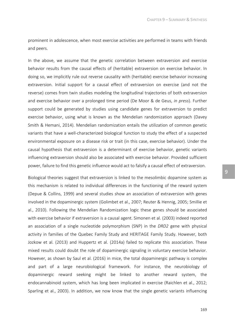prominent in adolescence, when most exercise activities are performed in teams with friends and peers.

In the above, we assume that the genetic correlation between extraversion and exercise behavior results from the causal effects of (heritable) extraversion on exercise behavior. In doing so, we implicitly rule out reverse causality with (heritable) exercise behavior increasing extraversion. Initial support for a causal effect of extraversion on exercise (and not the reverse) comes from twin studies modeling the longitudinal trajectories of both extraversion and exercise behavior over a prolonged time period (De Moor & de Geus, *in press*). Further support could be generated by studies using candidate genes for extraversion to predict exercise behavior, using what is known as the Mendelian randomization approach (Davey Smith & Hemani, 2014). Mendelian randomization entails the utilization of common genetic variants that have a well-characterized biological function to study the effect of a suspected environmental exposure on a disease risk or trait (in this case, exercise behavior). Under the causal hypothesis that extraversion is a determinant of exercise behavior, genetic variants influencing extraversion should also be associated with exercise behavior. Provided sufficient power, failure to find this genetic influence would act to falsify a causal effect of extraversion.

Biological theories suggest that extraversion is linked to the mesolimbic dopamine system as this mechanism is related to individual differences in the functioning of the reward system (Depue & Collins, 1999) and several studies show an association of extraversion with genes involved in the dopaminergic system (Golimbet et al., 2007; Reuter & Hennig, 2005; Smillie et al., 2010). Following the Mendelian Randomization logic these genes should be associated with exercise behavior if extraversion is a causal agent. Simonen et al. (2003) indeed reported an association of a single nucleotide polymorphism (SNP) in the *DRD2* gene with physical activity in families of the Quebec Family Study and HERITAGE Family Study. However, both Jozkow et al. (2013) and Huppertz et al. (2014a) failed to replicate this association. These mixed results could doubt the role of dopaminergic signaling in voluntary exercise behavior. However, as shown by Saul et al. (2016) in mice, the total dopaminergic pathway is complex and part of a large neurobiological framework. For instance, the neurobiology of dopaminergic reward seeking might be linked to another reward system, the endocannabinoid system, which has long been implicated in exercise (Raichlen et al., 2012; Sparling et al., 2003). In addition, we now know that the single genetic variants influencing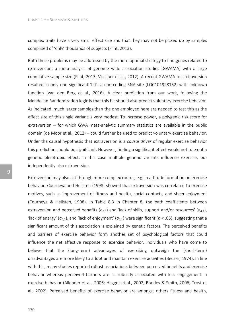complex traits have a very small effect size and that they may not be picked up by samples comprised of 'only' thousands of subjects (Flint, 2013).

Both these problems may be addressed by the more optimal strategy to find genes related to extraversion: a meta-analysis of genome wide association studies (GWAMA) with a large cumulative sample size (Flint, 2013; Visscher et al., 2012). A recent GWAMA for extraversion resulted in only one significant 'hit': a non-coding RNA site (LOC101928162) with unknown function (van den Berg et al., 2016). A clear prediction from our work, following the Mendelian Randomization logic is that this hit should also predict voluntary exercise behavior. As indicated, much larger samples than the one employed here are needed to test this as the effect size of this single variant is very modest. To increase power, a polygenic risk score for extraversion – for which GWA meta-analytic summary statistics are available in the public domain (de Moor et al., 2012) – could further be used to predict voluntary exercise behavior. Under the causal hypothesis that extraversion is a *causal driver* of regular exercise behavior this prediction should be significant. However, finding a significant effect would not rule out a genetic pleiotropic effect: in this case multiple genetic variants influence exercise, but independently also extraversion.

Extraversion may also act through more complex routes, e.g. in attitude formation on exercise behavior. Courneya and Hellsten (1998) showed that extraversion was correlated to exercise motives, such as improvement of fitness and health, social contacts, and sheer enjoyment (Courneya & Hellsten, 1998). In Table 8.3 in Chapter 8, the path coefficients between extraversion and perceived benefits  $(a_{3,1})$  and 'lack of skills, support and/or resources'  $(a_{4,1})$ , 'lack of energy' ( $a_{6,1}$ ), and 'lack of enjoyment' ( $a_{7,1}$ ) were significant ( $p < .05$ ), suggesting that a significant amount of this association is explained by genetic factors. The perceived benefits and barriers of exercise behavior form another set of psychological factors that could influence the net affective response to exercise behavior. Individuals who have come to believe that the (long-term) advantages of exercising outweigh the (short-term) disadvantages are more likely to adopt and maintain exercise activities (Becker, 1974). In line with this, many studies reported robust associations between perceived benefits and exercise behavior whereas perceived barriers are as robustly associated with less engagement in exercise behavior (Allender et al., 2006; Hagger et al., 2002; Rhodes & Smith, 2006; Trost et al., 2002). Perceived benefits of exercise behavior are amongst others fitness and health,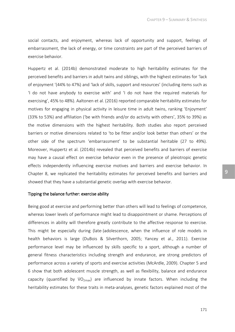social contacts, and enjoyment, whereas lack of opportunity and support, feelings of embarrassment, the lack of energy, or time constraints are part of the perceived barriers of exercise behavior.

Huppertz et al. (2014b) demonstrated moderate to high heritability estimates for the perceived benefits and barriers in adult twins and siblings, with the highest estimates for 'lack of enjoyment '(44% to 47%) and 'lack of skills, support and resources' (including items such as 'I do not have anybody to exercise with' and 'I do not have the required materials for exercising', 45% to 48%). Aaltonen et al. (2016) reported comparable heritability estimates for motives for engaging in physical activity in leisure time in adult twins, ranking 'Enjoyment' (33% to 53%) and affiliation ('be with friends and/or do activity with others', 35% to 39%) as the motive dimensions with the highest heritability. Both studies also report perceived barriers or motive dimensions related to 'to be fitter and/or look better than others' or the other side of the spectrum 'embarrassment' to be substantial heritable (27 to 49%). Moreover, Huppertz et al. (2014b) revealed that perceived benefits and barriers of exercise may have a causal effect on exercise behavior even in the presence of pleiotropic genetic effects independently influencing exercise motives and barriers and exercise behavior. In Chapter 8, we replicated the heritability estimates for perceived benefits and barriers and showed that they have a substantial genetic overlap with exercise behavior.

#### Tipping the balance further: exercise ability

Being good at exercise and performing better than others will lead to feelings of competence, whereas lower levels of performance might lead to disappointment or shame. Perceptions of differences in ability will therefore greatly contribute to the affective response to exercise. This might be especially during (late-)adolescence, when the influence of role models in health behaviors is large (DuBois & Silverthorn, 2005; Yancey et al., 2011). Exercise performance level may be influenced by skills specific to a sport, although a number of general fitness characteristics including strength and endurance, are strong predictors of performance across a variety of sports and exercise activities (McArdle, 2009). Chapter 5 and 6 show that both adolescent muscle strength, as well as flexibility, balance and endurance capacity (quantified by  $VO_{2max}$ ) are influenced by innate factors. When including the heritability estimates for these traits in meta-analyses, genetic factors explained most of the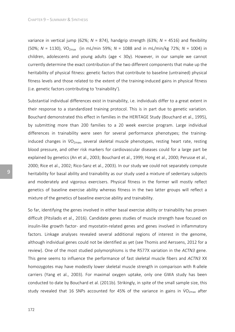variance in vertical jump (62%; *N* = 874), handgrip strength (63%; *N* = 4516) and flexibility (50%; *N* = 1130), V̇O2max (in mL/min 59%; *N* = 1088 and in mL/min/kg 72%; *N* = 1004) in children, adolescents and young adults (age < 30y). However, in our sample we cannot currently determine the exact contribution of the two different components that make up the heritability of physical fitness: genetic factors that contribute to baseline (untrained) physical fitness levels and those related to the extent of the training-induced gains in physical fitness (i.e. genetic factors contributing to 'trainability').

Substantial individual differences exist in trainability, i.e. individuals differ to a great extent in their response to a standardized training protocol. This is in part due to genetic variation. Bouchard demonstrated this effect in families in the HERITAGE Study (Bouchard et al., 1995), by submitting more than 200 families to a 20 week exercise program. Large individual differences in trainability were seen for several performance phenotypes; the traininginduced changes in  $VO_{2max}$ , several skeletal muscle phenotypes, resting heart rate, resting blood pressure, and other risk markers for cardiovascular diseases could for a large part be explained by genetics (An et al., 2003; Bouchard et al., 1999; Hong et al., 2000; Perusse et al., 2000; Rice et al., 2002; Rico-Sanz et al., 2003). In our study we could not separately compute heritability for basal ability and trainability as our study used a mixture of sedentary subjects and moderately and vigorous exercisers. Physical fitness in the former will mostly reflect genetics of baseline exercise ability whereas fitness in the two latter groups will reflect a mixture of the genetics of baseline exercise ability and trainability.

So far, identifying the genes involved in either basal exercise ability or trainability has proven difficult (Pitsiladis et al., 2016). Candidate genes studies of muscle strength have focused on insulin-like growth factor- and myostatin-related genes and genes involved in inflammatory factors. Linkage analyses revealed several additional regions of interest in the genome, although individual genes could not be identified as yet (see Thomis and Aerssens, 2012 for a review). One of the most studied polymorphisms is the R577X variation in the *ACTN3* gene. This gene seems to influence the performance of fast skeletal muscle fibers and *ACTN3* XX homozygotes may have modestly lower skeletal muscle strength in comparison with R-allele carriers (Yang et al., 2003). For maximal oxygen uptake, only one GWA study has been conducted to date by Bouchard et al. (2011b). Strikingly, in spite of the small sample size, this study revealed that 16 SNPs accounted for 45% of the variance in gains in  $\dot{V}O_{2\text{max}}$  after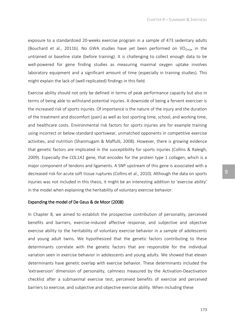exposure to a standardized 20-weeks exercise program in a sample of 473 sedentary adults (Bouchard et al., 2011b). No GWA studies have yet been performed on  $VO_{2max}$  in the untrained or baseline state (before training). It is challenging to collect enough data to be well-powered for gene finding studies as measuring maximal oxygen uptake involves laboratory equipment and a significant amount of time (especially in training studies). This might explain the lack of (well-replicated) findings in this field.

Exercise ability should not only be defined in terms of peak performance capacity but also in terms of being able to withstand potential injuries. A downside of being a fervent exerciser is the increased risk of sports injuries. Of importance is the nature of the injury and the duration of the treatment and discomfort (pain) as well as lost sporting time, school, and working time, and healthcare costs. Environmental risk factors for sports injuries are for example training using incorrect or below-standard sportswear, unmatched opponents in competitive exercise activities, and nutrition (Shanmugam & Maffulli, 2008). However, there is growing evidence that genetic factors are implicated in the susceptibility for sports injuries (Collins & Raleigh, 2009). Especially the *COL1A1* gene, that encodes for the protein type 1 collagen, which is a major component of tendons and ligaments. A SNP upstream of this gene is associated with a decreased risk for acute soft tissue ruptures (Collins et al., 2010). Although the data on sports injuries was not included in this thesis, it might be an interesting addition to 'exercise ability' in the model when explaining the heritability of voluntary exercise behavior.

# Expanding the model of De Geus & de Moor (2008)

In Chapter 8, we aimed to establish the prospective contribution of personality, perceived benefits and barriers, exercise-induced affective response, and subjective and objective exercise ability to the heritability of voluntary exercise behavior in a sample of adolescents and young adult twins. We hypothesized that the genetic factors contributing to these determinants correlate with the genetic factors that are responsible for the individual variation seen in exercise behavior in adolescents and young adults. We showed that eleven determinants have genetic overlap with exercise behavior. These determinants included the 'extraversion' dimension of personality, calmness measured by the Activation-Deactivation checklist after a submaximal exercise test, perceived benefits of exercise and perceived barriers to exercise, and subjective and objective exercise ability. When including these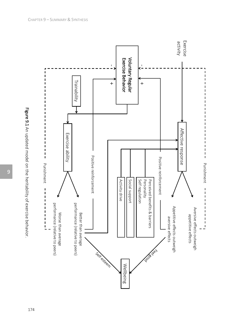



174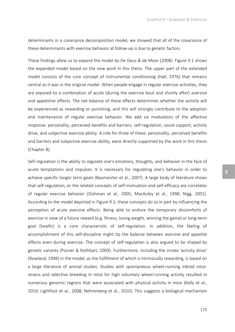determinants in a covariance decomposition model, we showed that all of the covariance of these determinants with exercise behavior at follow-up is due to genetic factors.

These findings allow us to expand the model by De Geus & de Moor (2008). Figure 9.1 shows the expanded model based on the new work in this thesis. The upper part of the extended model consists of the core concept of instrumental conditioning (Hall, 1976) that remains central as it was in the original model. When people engage in regular exercise activities, they are exposed to a combination of acute (during the exercise bout and shortly after) aversive and appetitive effects. The net balance of these effects determines whether the activity will be experienced as rewarding or punishing, and this will strongly contribute to the adoption and maintenance of regular exercise behavior. We add six modulators of the affective response: personality, perceived benefits and barriers, self-regulation, social support, activity drive, and subjective exercise ability. A role for three of these, personality, perceived benefits and barriers and subjective exercise ability, were directly supported by the work in this thesis (Chapter 8).

Self-regulation is the ability to regulate one's emotions, thoughts, and behavior in the face of acute temptations and impulses. It is necessary for regulating one's behavior in order to achieve specific longer term goals (Baumeister et al., 2007). A large body of literature shows that self-regulation, or the related concepts of self-motivation and self-efficacy are correlates of regular exercise behavior (Dishman et al., 2005; MacAuley et al., 1998; Nigg, 2001). According to the model depicted in Figure 9.1, these concepts do so in part by influencing the perception of acute aversive effects. Being able to endure the temporary discomforts of exercise in view of a future reward (e.g. fitness, losing weight, winning the game) or long-term goal (health) is a core characteristic of self-regulation. In addition, the feeling of accomplishment of this self-discipline might tip the balance between aversive and appetite effects even during exercise. The concept of self-regulation is also argued to be shaped by genetic variants (Posner & Rothbart, 2009). Furthermore, including the innate 'activity drive' (Rowland, 1998) in the model, as the fulfillment of which is intrinsically rewarding, is based on a large literature of animal studies. Studies with spontaneous wheel-running inbred micestrains and selective breeding in mice for high voluntary wheel-running activity resulted in numerous genomic regions that were associated with physical activity in mice (Kelly et al., 2010; Lightfoot et al., 2008; Nehrenberg et al., 2010). This suggests a biological mechanism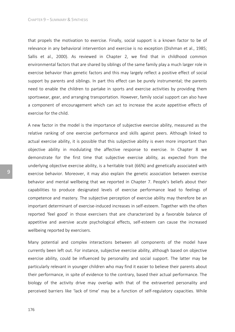that propels the motivation to exercise. Finally, social support is a known factor to be of relevance in any behavioral intervention and exercise is no exception (Dishman et al., 1985; Sallis et al., 2000). As reviewed in Chapter 2, we find that in childhood common environmental factors that are shared by siblings of the same family play a much larger role in exercise behavior than genetic factors and this may largely reflect a positive effect of social support by parents and siblings. In part this effect can be purely instrumental; the parents need to enable the children to partake in sports and exercise activities by providing them sportswear, gear, and arranging transportation. However, family social support can also have a component of encouragement which can act to increase the acute appetitive effects of exercise for the child.

A new factor in the model is the importance of subjective exercise ability, measured as the relative ranking of one exercise performance and skills against peers. Although linked to actual exercise ability, it is possible that this subjective ability is even more important than objective ability in modulating the affective response to exercise. In Chapter 8 we demonstrate for the first time that subjective exercise ability, as expected from the underlying objective exercise ability, is a heritable trait (66%) and genetically associated with exercise behavior. Moreover, it may also explain the genetic association between exercise behavior and mental wellbeing that we reported in Chapter 7. People's beliefs about their capabilities to produce designated levels of exercise performance lead to feelings of competence and mastery. The subjective perception of exercise ability may therefore be an important determinant of exercise-induced increases in self-esteem. Together with the often reported 'feel good' in those exercisers that are characterized by a favorable balance of appetitive and aversive acute psychological effects, self-esteem can cause the increased wellbeing reported by exercisers.

Many potential and complex interactions between all components of the model have currently been left out. For instance, subjective exercise ability, although based on objective exercise ability, could be influenced by personality and social support. The latter may be particularly relevant in younger children who may find it easier to believe their parents about their performance, in spite of evidence to the contrary, based their actual performance. The biology of the activity drive may overlap with that of the extraverted personality and perceived barriers like 'lack of time' may be a function of self-regulatory capacities. While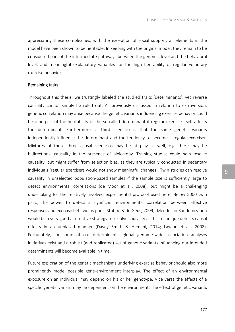appreciating these complexities, with the exception of social support, all elements in the model have been shown to be heritable. In keeping with the original model, they remain to be considered part of the intermediate pathways between the genomic level and the behavioral level, and meaningful explanatory variables for the high heritability of regular voluntary exercise behavior.

# Remaining tasks

Throughout this thesis, we trustingly labeled the studied traits 'determinants', yet reverse causality cannot simply be ruled out. As previously discussed in relation to extraversion, genetic correlation may arise because the genetic variants influencing exercise behavior could become part of the heritability of the so-called determinant if regular exercise itself affects the determinant. Furthermore, a third scenario is that the same genetic variants independently influence the determinant and the tendency to become a regular exerciser. Mixtures of these three causal scenarios may be at play as well, e.g. there may be bidirectional causality in the presence of pleiotropy. Training studies could help resolve causality, but might suffer from selection bias, as they are typically conducted in sedentary individuals (regular exercisers would not show meaningful changes). Twin studies can resolve causality in unselected population-based samples if the sample size is sufficiently large to detect environmental correlations (de Moor et al., 2008), but might be a challenging undertaking for the relatively involved experimental protocol used here. Below 5000 twin pairs, the power to detect a significant environmental correlation between affective responses and exercise behavior is poor (Stubbe & de Geus, 2009). Mendelian Randomization would be a very good alternative strategy to resolve causality as this technique detects causal effects in an unbiased manner (Davey Smith & Hemani, 2014; Lawlor et al., 2008). Fortunately, for some of our determinants, global genome-wide association analyses initiatives exist and a robust (and replicated) set of genetic variants influencing our intended determinants will become available in time.

Future exploration of the genetic mechanisms underlying exercise behavior should also more prominently model possible gene-environment interplay. The effect of an environmental exposure on an individual may depend on his or her genotype. Vice versa the effects of a specific genetic variant may be dependent on the environment. The effect of genetic variants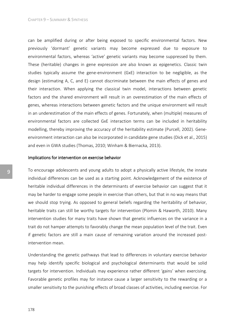can be amplified during or after being exposed to specific environmental factors. New previously 'dormant' genetic variants may become expressed due to exposure to environmental factors, whereas 'active' genetic variants may become suppressed by them. These (heritable) changes in gene expression are also known as epigenetics. Classic twin studies typically assume the gene-environment (GxE) interaction to be negligible, as the design (estimating A, C, and E) cannot discriminate between the main effects of genes and their interaction. When applying the classical twin model, interactions between genetic factors and the shared environment will result in an overestimation of the main effects of genes, whereas interactions between genetic factors and the unique environment will result in an underestimation of the main effects of genes. Fortunately, when (multiple) measures of environmental factors are collected GxE interaction terms can be included in heritability modelling, thereby improving the accuracy of the heritability estimate (Purcell, 2002). Geneenvironment interaction can also be incorporated in candidate gene studies (Dick et al., 2015) and even in GWA studies (Thomas, 2010; Winham & Biernacka, 2013).

#### Implications for intervention on exercise behavior

To encourage adolescents and young adults to adopt a physically active lifestyle, the innate individual differences can be used as a starting point. Acknowledgement of the existence of heritable individual differences in the determinants of exercise behavior can suggest that it may be harder to engage some people in exercise than others, but that in no way means that we should stop trying. As opposed to general beliefs regarding the heritability of behavior, heritable traits can still be worthy targets for intervention (Plomin & Haworth, 2010). Many intervention studies for many traits have shown that genetic influences on the variance in a trait do not hamper attempts to favorably change the mean population level of the trait. Even if genetic factors are still a main cause of remaining variation around the increased postintervention mean.

Understanding the genetic pathways that lead to differences in voluntary exercise behavior may help identify specific biological and psychological determinants that would be solid targets for intervention. Individuals may experience rather different 'gains' when exercising. Favorable genetic profiles may for instance cause a larger sensitivity to the rewarding or a smaller sensitivity to the punishing effects of broad classes of activities, including exercise. For